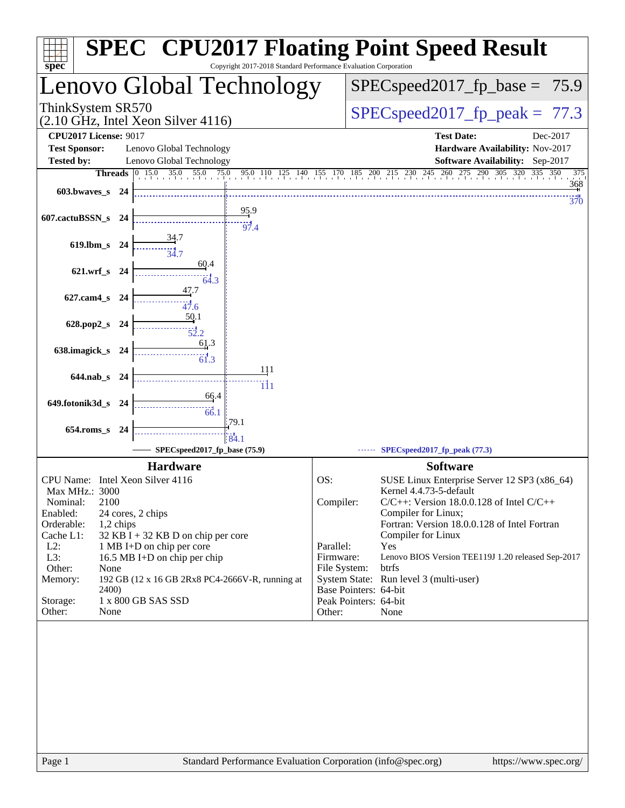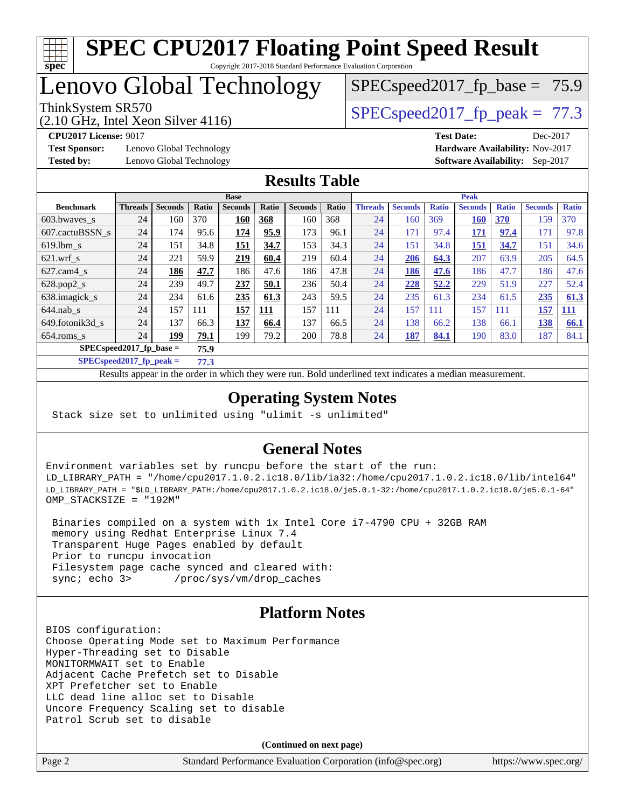

# Lenovo Global Technology

ThinkSystem SR570<br>  $SPECspeed2017$  fp\_peak = 77.3

 $SPECspeed2017_fp\_base = 75.9$ 

(2.10 GHz, Intel Xeon Silver 4116)

**[Test Sponsor:](http://www.spec.org/auto/cpu2017/Docs/result-fields.html#TestSponsor)** Lenovo Global Technology **[Hardware Availability:](http://www.spec.org/auto/cpu2017/Docs/result-fields.html#HardwareAvailability)** Nov-2017

**[CPU2017 License:](http://www.spec.org/auto/cpu2017/Docs/result-fields.html#CPU2017License)** 9017 **[Test Date:](http://www.spec.org/auto/cpu2017/Docs/result-fields.html#TestDate)** Dec-2017 **[Tested by:](http://www.spec.org/auto/cpu2017/Docs/result-fields.html#Testedby)** Lenovo Global Technology **[Software Availability:](http://www.spec.org/auto/cpu2017/Docs/result-fields.html#SoftwareAvailability)** Sep-2017

### **[Results Table](http://www.spec.org/auto/cpu2017/Docs/result-fields.html#ResultsTable)**

|                                   | <b>Base</b>    |                |       |                | <b>Peak</b> |                |       |                |                |              |                |              |                |              |
|-----------------------------------|----------------|----------------|-------|----------------|-------------|----------------|-------|----------------|----------------|--------------|----------------|--------------|----------------|--------------|
| <b>Benchmark</b>                  | <b>Threads</b> | <b>Seconds</b> | Ratio | <b>Seconds</b> | Ratio       | <b>Seconds</b> | Ratio | <b>Threads</b> | <b>Seconds</b> | <b>Ratio</b> | <b>Seconds</b> | <b>Ratio</b> | <b>Seconds</b> | <b>Ratio</b> |
| $603.bwaves$ s                    | 24             | 160            | 370   | 160            | 368         | 160            | 368   | 24             | 160            | 369          | 160            | 370          | 159            | 370          |
| 607.cactuBSSN s                   | 24             | 174            | 95.6  | 174            | 95.9        | 173            | 96.1  | 24             | 171            | 97.4         | <u>171</u>     | 97.4         | 171            | 97.8         |
| $619.$ lbm s                      | 24             | 151            | 34.8  | <u> 151</u>    | 34.7        | 153            | 34.3  | 24             | 151            | 34.8         | <b>151</b>     | 34.7         | 151            | 34.6         |
| $621.wrf$ s                       | 24             | 221            | 59.9  | 219            | 60.4        | 219            | 60.4  | 24             | 206            | 64.3         | 207            | 63.9         | 205            | 64.5         |
| $627.cam4_s$                      | 24             | 186            | 47.7  | 186            | 47.6        | 186            | 47.8  | 24             | 186            | 47.6         | 186            | 47.7         | 186            | 47.6         |
| $628.pop2_s$                      | 24             | 239            | 49.7  | 237            | 50.1        | 236            | 50.4  | 24             | 228            | 52.2         | 229            | 51.9         | 227            | 52.4         |
| 638.imagick_s                     | 24             | 234            | 61.6  | 235            | 61.3        | 243            | 59.5  | 24             | 235            | 61.3         | 234            | 61.5         | 235            | 61.3         |
| $644$ .nab s                      | 24             | 157            | 111   | 157            | 111         | 157            | 111   | 24             | 157            | 111          | 157            | 111          | 157            | <b>111</b>   |
| 649.fotonik3d s                   | 24             | 137            | 66.3  | 137            | 66.4        | 137            | 66.5  | 24             | 138            | 66.2         | 138            | 66.1         | 138            | 66.1         |
| $654$ .roms s                     | 24             | 199            | 79.1  | 199            | 79.2        | 200            | 78.8  | 24             | 187            | 84.1         | 190            | 83.0         | 187            | 84.1         |
| $SPECspeed2017$ fp base =<br>75.9 |                |                |       |                |             |                |       |                |                |              |                |              |                |              |

**[SPECspeed2017\\_fp\\_peak =](http://www.spec.org/auto/cpu2017/Docs/result-fields.html#SPECspeed2017fppeak) 77.3**

Results appear in the [order in which they were run.](http://www.spec.org/auto/cpu2017/Docs/result-fields.html#RunOrder) Bold underlined text [indicates a median measurement](http://www.spec.org/auto/cpu2017/Docs/result-fields.html#Median).

### **[Operating System Notes](http://www.spec.org/auto/cpu2017/Docs/result-fields.html#OperatingSystemNotes)**

Stack size set to unlimited using "ulimit -s unlimited"

### **[General Notes](http://www.spec.org/auto/cpu2017/Docs/result-fields.html#GeneralNotes)**

Environment variables set by runcpu before the start of the run: LD\_LIBRARY\_PATH = "/home/cpu2017.1.0.2.ic18.0/lib/ia32:/home/cpu2017.1.0.2.ic18.0/lib/intel64" LD\_LIBRARY\_PATH = "\$LD\_LIBRARY\_PATH:/home/cpu2017.1.0.2.ic18.0/je5.0.1-32:/home/cpu2017.1.0.2.ic18.0/je5.0.1-64" OMP\_STACKSIZE = "192M"

 Binaries compiled on a system with 1x Intel Core i7-4790 CPU + 32GB RAM memory using Redhat Enterprise Linux 7.4 Transparent Huge Pages enabled by default Prior to runcpu invocation Filesystem page cache synced and cleared with: sync; echo 3> /proc/sys/vm/drop\_caches

## **[Platform Notes](http://www.spec.org/auto/cpu2017/Docs/result-fields.html#PlatformNotes)**

BIOS configuration: Choose Operating Mode set to Maximum Performance Hyper-Threading set to Disable MONITORMWAIT set to Enable Adjacent Cache Prefetch set to Disable XPT Prefetcher set to Enable LLC dead line alloc set to Disable Uncore Frequency Scaling set to disable Patrol Scrub set to disable

**(Continued on next page)**

| Page 2 | Standard Performance Evaluation Corporation (info@spec.org) | https://www.spec.org/ |
|--------|-------------------------------------------------------------|-----------------------|
|        |                                                             |                       |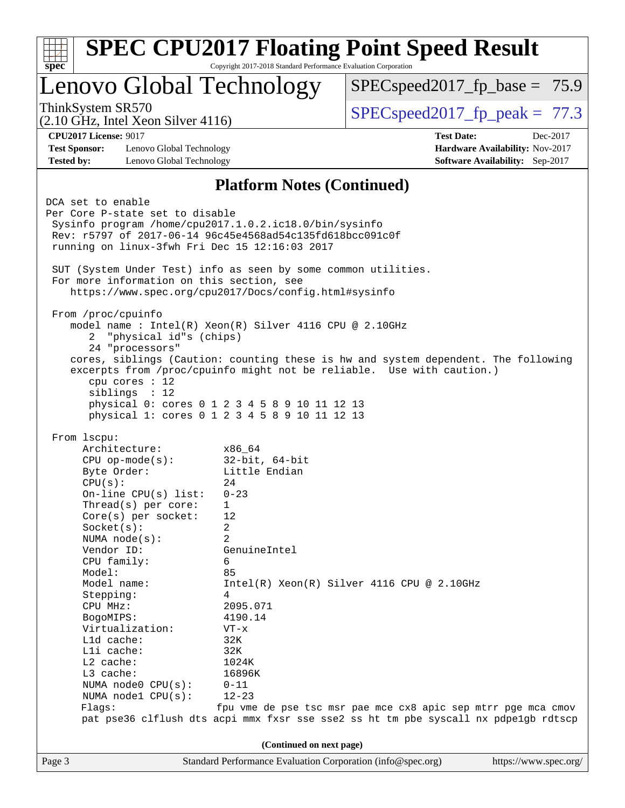| $spec*$                                                                                                                                                                                                                                                                                                                                                                                                                                                                                                                                                                                                                                                                                                                                                                                   | Copyright 2017-2018 Standard Performance Evaluation Corporation                                                                                                                                                     | <b>SPEC CPU2017 Floating Point Speed Result</b>                                                                                                                                                    |                                                                           |  |  |
|-------------------------------------------------------------------------------------------------------------------------------------------------------------------------------------------------------------------------------------------------------------------------------------------------------------------------------------------------------------------------------------------------------------------------------------------------------------------------------------------------------------------------------------------------------------------------------------------------------------------------------------------------------------------------------------------------------------------------------------------------------------------------------------------|---------------------------------------------------------------------------------------------------------------------------------------------------------------------------------------------------------------------|----------------------------------------------------------------------------------------------------------------------------------------------------------------------------------------------------|---------------------------------------------------------------------------|--|--|
| Lenovo Global Technology                                                                                                                                                                                                                                                                                                                                                                                                                                                                                                                                                                                                                                                                                                                                                                  |                                                                                                                                                                                                                     | $SPEC speed2017_f p\_base = 75.9$                                                                                                                                                                  |                                                                           |  |  |
| ThinkSystem SR570<br>$(2.10 \text{ GHz}, \text{Intel Xeon Silver } 4116)$                                                                                                                                                                                                                                                                                                                                                                                                                                                                                                                                                                                                                                                                                                                 |                                                                                                                                                                                                                     | $SPEC speed2017fp peak = 77.3$                                                                                                                                                                     |                                                                           |  |  |
| <b>CPU2017 License: 9017</b>                                                                                                                                                                                                                                                                                                                                                                                                                                                                                                                                                                                                                                                                                                                                                              |                                                                                                                                                                                                                     | <b>Test Date:</b>                                                                                                                                                                                  | Dec-2017                                                                  |  |  |
| <b>Test Sponsor:</b><br>Lenovo Global Technology<br><b>Tested by:</b><br>Lenovo Global Technology                                                                                                                                                                                                                                                                                                                                                                                                                                                                                                                                                                                                                                                                                         |                                                                                                                                                                                                                     |                                                                                                                                                                                                    | Hardware Availability: Nov-2017<br><b>Software Availability:</b> Sep-2017 |  |  |
|                                                                                                                                                                                                                                                                                                                                                                                                                                                                                                                                                                                                                                                                                                                                                                                           | <b>Platform Notes (Continued)</b>                                                                                                                                                                                   |                                                                                                                                                                                                    |                                                                           |  |  |
| DCA set to enable<br>Per Core P-state set to disable<br>Sysinfo program /home/cpu2017.1.0.2.ic18.0/bin/sysinfo<br>Rev: r5797 of 2017-06-14 96c45e4568ad54c135fd618bcc091c0f<br>running on linux-3fwh Fri Dec 15 12:16:03 2017<br>SUT (System Under Test) info as seen by some common utilities.<br>For more information on this section, see<br>https://www.spec.org/cpu2017/Docs/config.html#sysinfo<br>From /proc/cpuinfo<br>model name : Intel(R) Xeon(R) Silver 4116 CPU @ 2.10GHz<br>"physical id"s (chips)<br>2<br>24 "processors"<br>cores, siblings (Caution: counting these is hw and system dependent. The following<br>excerpts from /proc/cpuinfo might not be reliable. Use with caution.)<br>cpu cores : 12<br>sibling: 12<br>physical 0: cores 0 1 2 3 4 5 8 9 10 11 12 13 |                                                                                                                                                                                                                     |                                                                                                                                                                                                    |                                                                           |  |  |
| physical 1: cores 0 1 2 3 4 5 8 9 10 11 12 13<br>From 1scpu:                                                                                                                                                                                                                                                                                                                                                                                                                                                                                                                                                                                                                                                                                                                              |                                                                                                                                                                                                                     |                                                                                                                                                                                                    |                                                                           |  |  |
| Architecture:<br>$CPU$ op-mode( $s$ ):<br>Byte Order:<br>CPU(s):<br>On-line $CPU(s)$ list:<br>Thread( $s$ ) per core:<br>$Core(s)$ per socket:<br>Socket(s):<br>NUMA node(s):<br>Vendor ID:<br>CPU family:<br>Model:<br>Model name:<br>Stepping:<br>CPU MHz:<br>BogoMIPS:<br>Virtualization:<br>L1d cache:<br>Lli cache:<br>L2 cache:<br>L3 cache:<br>NUMA node0 CPU(s):<br>NUMA nodel CPU(s):<br>Flags:                                                                                                                                                                                                                                                                                                                                                                                  | x86 64<br>$32$ -bit, $64$ -bit<br>Little Endian<br>24<br>$0 - 23$<br>1<br>12<br>2<br>2<br>GenuineIntel<br>6<br>85<br>4<br>2095.071<br>4190.14<br>$VT - x$<br>32K<br>32K<br>1024K<br>16896K<br>$0 - 11$<br>$12 - 23$ | Intel(R) Xeon(R) Silver 4116 CPU @ 2.10GHz<br>fpu vme de pse tsc msr pae mce cx8 apic sep mtrr pge mca cmov<br>pat pse36 clflush dts acpi mmx fxsr sse sse2 ss ht tm pbe syscall nx pdpelgb rdtscp |                                                                           |  |  |
| (Continued on next page)                                                                                                                                                                                                                                                                                                                                                                                                                                                                                                                                                                                                                                                                                                                                                                  |                                                                                                                                                                                                                     |                                                                                                                                                                                                    |                                                                           |  |  |
| Page 3                                                                                                                                                                                                                                                                                                                                                                                                                                                                                                                                                                                                                                                                                                                                                                                    | Standard Performance Evaluation Corporation (info@spec.org)                                                                                                                                                         |                                                                                                                                                                                                    | https://www.spec.org/                                                     |  |  |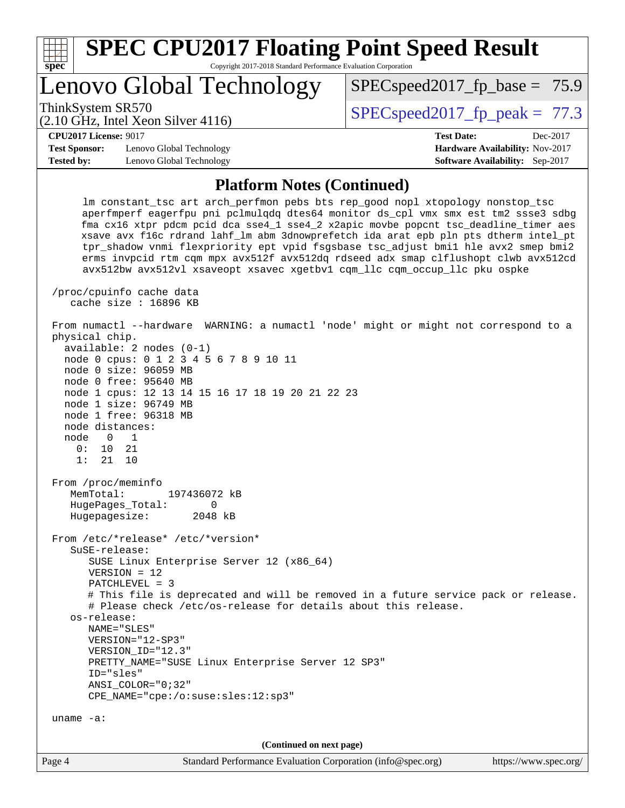| <b>SPEC CPU2017 Floating Point Speed Result</b><br>spec <sup>®</sup><br>Copyright 2017-2018 Standard Performance Evaluation Corporation                                                                                                                                                                                                                                                                                                                                                                                                                                                                     |                                                     |                                        |  |  |  |  |
|-------------------------------------------------------------------------------------------------------------------------------------------------------------------------------------------------------------------------------------------------------------------------------------------------------------------------------------------------------------------------------------------------------------------------------------------------------------------------------------------------------------------------------------------------------------------------------------------------------------|-----------------------------------------------------|----------------------------------------|--|--|--|--|
| Lenovo Global Technology                                                                                                                                                                                                                                                                                                                                                                                                                                                                                                                                                                                    |                                                     | $SPEC speed2017_fp\_base = 75.9$       |  |  |  |  |
| ThinkSystem SR570<br>$(2.10 \text{ GHz}, \text{Intel Xeon Silver } 4116)$                                                                                                                                                                                                                                                                                                                                                                                                                                                                                                                                   |                                                     | $SPEC speed2017_fp\_peak = 77.3$       |  |  |  |  |
| CPU2017 License: 9017                                                                                                                                                                                                                                                                                                                                                                                                                                                                                                                                                                                       |                                                     | <b>Test Date:</b><br>Dec-2017          |  |  |  |  |
| <b>Test Sponsor:</b>                                                                                                                                                                                                                                                                                                                                                                                                                                                                                                                                                                                        | Lenovo Global Technology                            | Hardware Availability: Nov-2017        |  |  |  |  |
| <b>Tested by:</b>                                                                                                                                                                                                                                                                                                                                                                                                                                                                                                                                                                                           | Lenovo Global Technology                            | <b>Software Availability:</b> Sep-2017 |  |  |  |  |
| <b>Platform Notes (Continued)</b>                                                                                                                                                                                                                                                                                                                                                                                                                                                                                                                                                                           |                                                     |                                        |  |  |  |  |
| Im constant tsc art arch perfmon pebs bts rep good nopl xtopology nonstop tsc<br>aperfmperf eagerfpu pni pclmulqdq dtes64 monitor ds_cpl vmx smx est tm2 ssse3 sdbg<br>fma cx16 xtpr pdcm pcid dca sse4_1 sse4_2 x2apic movbe popcnt tsc_deadline_timer aes<br>xsave avx f16c rdrand lahf 1m abm 3dnowprefetch ida arat epb pln pts dtherm intel pt<br>tpr shadow vnmi flexpriority ept vpid fsgsbase tsc adjust bmil hle avx2 smep bmi2<br>erms invpcid rtm cqm mpx avx512f avx512dq rdseed adx smap clflushopt clwb avx512cd<br>avx512bw avx512vl xsaveopt xsavec xgetbvl cgm llc cgm occup llc pku ospke |                                                     |                                        |  |  |  |  |
|                                                                                                                                                                                                                                                                                                                                                                                                                                                                                                                                                                                                             | /proc/cpuinfo cache data<br>cache size $: 16896$ KB |                                        |  |  |  |  |

 From numactl --hardware WARNING: a numactl 'node' might or might not correspond to a physical chip. available: 2 nodes (0-1) node 0 cpus: 0 1 2 3 4 5 6 7 8 9 10 11 node 0 size: 96059 MB node 0 free: 95640 MB node 1 cpus: 12 13 14 15 16 17 18 19 20 21 22 23 node 1 size: 96749 MB node 1 free: 96318 MB node distances: node 0 1<br>0: 10 21

 From /proc/meminfo MemTotal: 197436072 kB HugePages\_Total: 0 Hugepagesize: 2048 kB

 $0: 10$ 1: 21 10

 From /etc/\*release\* /etc/\*version\* SuSE-release: SUSE Linux Enterprise Server 12 (x86\_64) VERSION = 12 PATCHLEVEL = 3 # This file is deprecated and will be removed in a future service pack or release. # Please check /etc/os-release for details about this release. os-release: NAME="SLES" VERSION="12-SP3" VERSION\_ID="12.3" PRETTY\_NAME="SUSE Linux Enterprise Server 12 SP3" ID="sles" ANSI\_COLOR="0;32" CPE\_NAME="cpe:/o:suse:sles:12:sp3" uname -a:

**(Continued on next page)**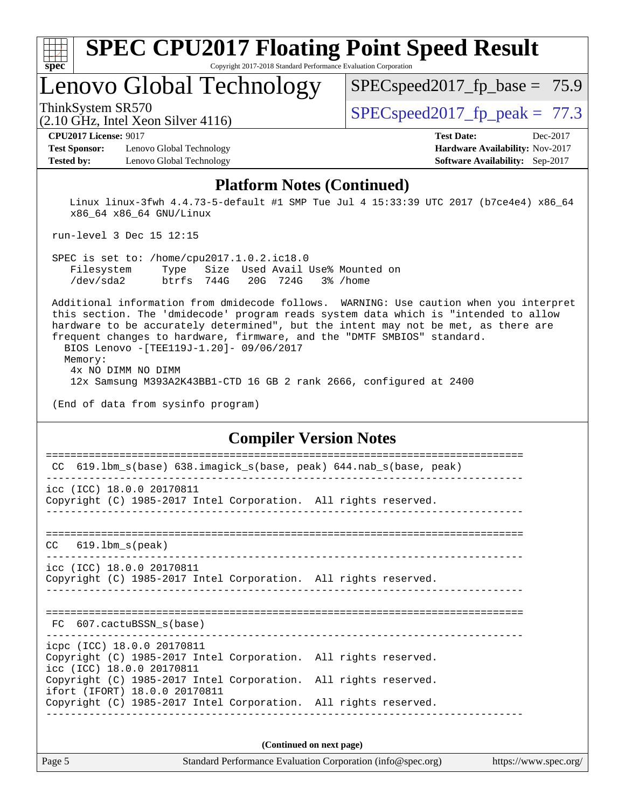| v.<br>æ<br>۱, |  |  |  |  |  |
|---------------|--|--|--|--|--|

Lenovo Global Technology

 $SPECspeed2017_fp\_base = 75.9$ 

ThinkSystem SR570  $SPEC speed2017$  fp\_peak = 77.3

## (2.10 GHz, Intel Xeon Silver 4116)

**[Test Sponsor:](http://www.spec.org/auto/cpu2017/Docs/result-fields.html#TestSponsor)** Lenovo Global Technology **[Hardware Availability:](http://www.spec.org/auto/cpu2017/Docs/result-fields.html#HardwareAvailability)** Nov-2017 **[Tested by:](http://www.spec.org/auto/cpu2017/Docs/result-fields.html#Testedby)** Lenovo Global Technology **[Software Availability:](http://www.spec.org/auto/cpu2017/Docs/result-fields.html#SoftwareAvailability)** Sep-2017

**[CPU2017 License:](http://www.spec.org/auto/cpu2017/Docs/result-fields.html#CPU2017License)** 9017 **[Test Date:](http://www.spec.org/auto/cpu2017/Docs/result-fields.html#TestDate)** Dec-2017

### **[Platform Notes \(Continued\)](http://www.spec.org/auto/cpu2017/Docs/result-fields.html#PlatformNotes)**

 Linux linux-3fwh 4.4.73-5-default #1 SMP Tue Jul 4 15:33:39 UTC 2017 (b7ce4e4) x86\_64 x86\_64 x86\_64 GNU/Linux

run-level 3 Dec 15 12:15

 SPEC is set to: /home/cpu2017.1.0.2.ic18.0 Filesystem Type Size Used Avail Use% Mounted on /dev/sda2 btrfs 744G 20G 724G 3% /home

 Additional information from dmidecode follows. WARNING: Use caution when you interpret this section. The 'dmidecode' program reads system data which is "intended to allow hardware to be accurately determined", but the intent may not be met, as there are frequent changes to hardware, firmware, and the "DMTF SMBIOS" standard. BIOS Lenovo -[TEE119J-1.20]- 09/06/2017

 Memory: 4x NO DIMM NO DIMM 12x Samsung M393A2K43BB1-CTD 16 GB 2 rank 2666, configured at 2400

(End of data from sysinfo program)

### **[Compiler Version Notes](http://www.spec.org/auto/cpu2017/Docs/result-fields.html#CompilerVersionNotes)**

| 619.1bm_s(base) 638.imagick_s(base, peak) 644.nab_s(base, peak)<br>CC                                                      |  |  |  |  |  |
|----------------------------------------------------------------------------------------------------------------------------|--|--|--|--|--|
| icc (ICC) 18.0.0 20170811<br>Copyright (C) 1985-2017 Intel Corporation. All rights reserved.                               |  |  |  |  |  |
| ---------------------<br>$CC$ 619.1bm $s$ (peak)                                                                           |  |  |  |  |  |
| icc (ICC) 18.0.0 20170811<br>Copyright (C) 1985-2017 Intel Corporation. All rights reserved.                               |  |  |  |  |  |
| FC 607.cactuBSSN s(base)                                                                                                   |  |  |  |  |  |
| icpc (ICC) 18.0.0 20170811<br>Copyright (C) 1985-2017 Intel Corporation. All rights reserved.<br>icc (ICC) 18.0.0 20170811 |  |  |  |  |  |
| Copyright (C) 1985-2017 Intel Corporation. All rights reserved.<br>ifort (IFORT) 18.0.0 20170811                           |  |  |  |  |  |
| Copyright (C) 1985-2017 Intel Corporation. All rights reserved.                                                            |  |  |  |  |  |
| (Continued on next page)                                                                                                   |  |  |  |  |  |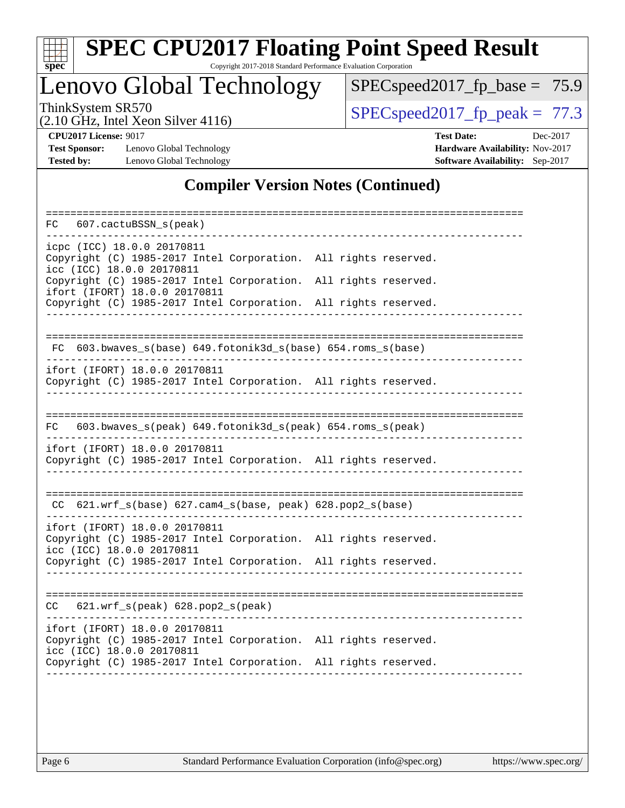

# **[SPEC CPU2017 Floating Point Speed Result](http://www.spec.org/auto/cpu2017/Docs/result-fields.html#SPECCPU2017FloatingPointSpeedResult)**

Copyright 2017-2018 Standard Performance Evaluation Corporation

Lenovo Global Technology

[SPECspeed2017\\_fp\\_base =](http://www.spec.org/auto/cpu2017/Docs/result-fields.html#SPECspeed2017fpbase) 75.9

(2.10 GHz, Intel Xeon Silver 4116)

ThinkSystem SR570<br>  $(2.10 \text{ GHz})$  Intel Yean Silver 4116)

**[Test Sponsor:](http://www.spec.org/auto/cpu2017/Docs/result-fields.html#TestSponsor)** Lenovo Global Technology **[Hardware Availability:](http://www.spec.org/auto/cpu2017/Docs/result-fields.html#HardwareAvailability)** Nov-2017 **[Tested by:](http://www.spec.org/auto/cpu2017/Docs/result-fields.html#Testedby)** Lenovo Global Technology **[Software Availability:](http://www.spec.org/auto/cpu2017/Docs/result-fields.html#SoftwareAvailability)** Sep-2017

**[CPU2017 License:](http://www.spec.org/auto/cpu2017/Docs/result-fields.html#CPU2017License)** 9017 **[Test Date:](http://www.spec.org/auto/cpu2017/Docs/result-fields.html#TestDate)** Dec-2017

### **[Compiler Version Notes \(Continued\)](http://www.spec.org/auto/cpu2017/Docs/result-fields.html#CompilerVersionNotes)**

| 607.cactuBSSN_s(peak)<br>FC                                                                                                                                                                      |  |
|--------------------------------------------------------------------------------------------------------------------------------------------------------------------------------------------------|--|
| icpc (ICC) 18.0.0 20170811<br>Copyright (C) 1985-2017 Intel Corporation. All rights reserved.<br>icc (ICC) 18.0.0 20170811                                                                       |  |
| Copyright (C) 1985-2017 Intel Corporation.<br>All rights reserved.<br>ifort (IFORT) 18.0.0 20170811                                                                                              |  |
| Copyright (C) 1985-2017 Intel Corporation. All rights reserved.                                                                                                                                  |  |
| 603.bwaves_s(base) 649.fotonik3d_s(base) 654.roms_s(base)<br>FC.                                                                                                                                 |  |
| ifort (IFORT) 18.0.0 20170811<br>Copyright (C) 1985-2017 Intel Corporation. All rights reserved.                                                                                                 |  |
| .========================<br>603.bwaves_s(peak) 649.fotonik3d_s(peak) 654.roms_s(peak)<br>FC.                                                                                                    |  |
| ifort (IFORT) 18.0.0 20170811<br>Copyright (C) 1985-2017 Intel Corporation. All rights reserved.                                                                                                 |  |
| CC 621.wrf_s(base) 627.cam4_s(base, peak) 628.pop2_s(base)                                                                                                                                       |  |
| ifort (IFORT) 18.0.0 20170811<br>Copyright (C) 1985-2017 Intel Corporation. All rights reserved.<br>icc (ICC) 18.0.0 20170811                                                                    |  |
| Copyright (C) 1985-2017 Intel Corporation. All rights reserved.                                                                                                                                  |  |
| ================<br>621.wrf_s(peak) 628.pop2_s(peak)<br>CC.                                                                                                                                      |  |
| ifort (IFORT) 18.0.0 20170811<br>Copyright (C) 1985-2017 Intel Corporation. All rights reserved.<br>icc (ICC) 18.0.0 20170811<br>Copyright (C) 1985-2017 Intel Corporation. All rights reserved. |  |
|                                                                                                                                                                                                  |  |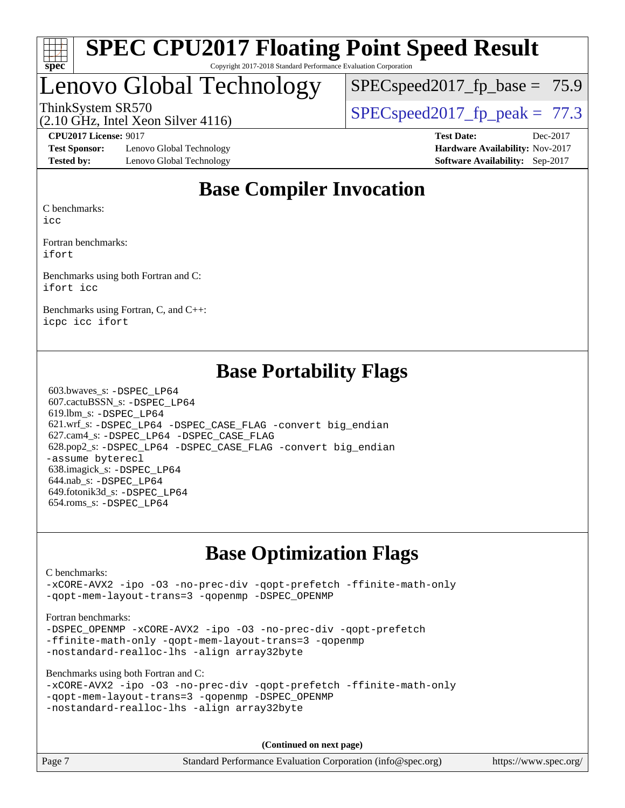

# Lenovo Global Technology

 $SPECspeed2017_fp\_base = 75.9$ 

(2.10 GHz, Intel Xeon Silver 4116)

ThinkSystem SR570  $SPIz$  [SPECspeed2017\\_fp\\_peak =](http://www.spec.org/auto/cpu2017/Docs/result-fields.html#SPECspeed2017fppeak) 77.3

**[Test Sponsor:](http://www.spec.org/auto/cpu2017/Docs/result-fields.html#TestSponsor)** Lenovo Global Technology **[Hardware Availability:](http://www.spec.org/auto/cpu2017/Docs/result-fields.html#HardwareAvailability)** Nov-2017 **[Tested by:](http://www.spec.org/auto/cpu2017/Docs/result-fields.html#Testedby)** Lenovo Global Technology **[Software Availability:](http://www.spec.org/auto/cpu2017/Docs/result-fields.html#SoftwareAvailability)** Sep-2017

**[CPU2017 License:](http://www.spec.org/auto/cpu2017/Docs/result-fields.html#CPU2017License)** 9017 **[Test Date:](http://www.spec.org/auto/cpu2017/Docs/result-fields.html#TestDate)** Dec-2017

# **[Base Compiler Invocation](http://www.spec.org/auto/cpu2017/Docs/result-fields.html#BaseCompilerInvocation)**

[C benchmarks:](http://www.spec.org/auto/cpu2017/Docs/result-fields.html#Cbenchmarks)

[icc](http://www.spec.org/cpu2017/results/res2018q1/cpu2017-20171225-02134.flags.html#user_CCbase_intel_icc_18.0_66fc1ee009f7361af1fbd72ca7dcefbb700085f36577c54f309893dd4ec40d12360134090235512931783d35fd58c0460139e722d5067c5574d8eaf2b3e37e92)

[Fortran benchmarks](http://www.spec.org/auto/cpu2017/Docs/result-fields.html#Fortranbenchmarks): [ifort](http://www.spec.org/cpu2017/results/res2018q1/cpu2017-20171225-02134.flags.html#user_FCbase_intel_ifort_18.0_8111460550e3ca792625aed983ce982f94888b8b503583aa7ba2b8303487b4d8a21a13e7191a45c5fd58ff318f48f9492884d4413fa793fd88dd292cad7027ca)

[Benchmarks using both Fortran and C:](http://www.spec.org/auto/cpu2017/Docs/result-fields.html#BenchmarksusingbothFortranandC) [ifort](http://www.spec.org/cpu2017/results/res2018q1/cpu2017-20171225-02134.flags.html#user_CC_FCbase_intel_ifort_18.0_8111460550e3ca792625aed983ce982f94888b8b503583aa7ba2b8303487b4d8a21a13e7191a45c5fd58ff318f48f9492884d4413fa793fd88dd292cad7027ca) [icc](http://www.spec.org/cpu2017/results/res2018q1/cpu2017-20171225-02134.flags.html#user_CC_FCbase_intel_icc_18.0_66fc1ee009f7361af1fbd72ca7dcefbb700085f36577c54f309893dd4ec40d12360134090235512931783d35fd58c0460139e722d5067c5574d8eaf2b3e37e92)

[Benchmarks using Fortran, C, and C++:](http://www.spec.org/auto/cpu2017/Docs/result-fields.html#BenchmarksusingFortranCandCXX) [icpc](http://www.spec.org/cpu2017/results/res2018q1/cpu2017-20171225-02134.flags.html#user_CC_CXX_FCbase_intel_icpc_18.0_c510b6838c7f56d33e37e94d029a35b4a7bccf4766a728ee175e80a419847e808290a9b78be685c44ab727ea267ec2f070ec5dc83b407c0218cded6866a35d07) [icc](http://www.spec.org/cpu2017/results/res2018q1/cpu2017-20171225-02134.flags.html#user_CC_CXX_FCbase_intel_icc_18.0_66fc1ee009f7361af1fbd72ca7dcefbb700085f36577c54f309893dd4ec40d12360134090235512931783d35fd58c0460139e722d5067c5574d8eaf2b3e37e92) [ifort](http://www.spec.org/cpu2017/results/res2018q1/cpu2017-20171225-02134.flags.html#user_CC_CXX_FCbase_intel_ifort_18.0_8111460550e3ca792625aed983ce982f94888b8b503583aa7ba2b8303487b4d8a21a13e7191a45c5fd58ff318f48f9492884d4413fa793fd88dd292cad7027ca)

# **[Base Portability Flags](http://www.spec.org/auto/cpu2017/Docs/result-fields.html#BasePortabilityFlags)**

 603.bwaves\_s: [-DSPEC\\_LP64](http://www.spec.org/cpu2017/results/res2018q1/cpu2017-20171225-02134.flags.html#suite_basePORTABILITY603_bwaves_s_DSPEC_LP64) 607.cactuBSSN\_s: [-DSPEC\\_LP64](http://www.spec.org/cpu2017/results/res2018q1/cpu2017-20171225-02134.flags.html#suite_basePORTABILITY607_cactuBSSN_s_DSPEC_LP64) 619.lbm\_s: [-DSPEC\\_LP64](http://www.spec.org/cpu2017/results/res2018q1/cpu2017-20171225-02134.flags.html#suite_basePORTABILITY619_lbm_s_DSPEC_LP64) 621.wrf\_s: [-DSPEC\\_LP64](http://www.spec.org/cpu2017/results/res2018q1/cpu2017-20171225-02134.flags.html#suite_basePORTABILITY621_wrf_s_DSPEC_LP64) [-DSPEC\\_CASE\\_FLAG](http://www.spec.org/cpu2017/results/res2018q1/cpu2017-20171225-02134.flags.html#b621.wrf_s_baseCPORTABILITY_DSPEC_CASE_FLAG) [-convert big\\_endian](http://www.spec.org/cpu2017/results/res2018q1/cpu2017-20171225-02134.flags.html#user_baseFPORTABILITY621_wrf_s_convert_big_endian_c3194028bc08c63ac5d04de18c48ce6d347e4e562e8892b8bdbdc0214820426deb8554edfa529a3fb25a586e65a3d812c835984020483e7e73212c4d31a38223) 627.cam4\_s: [-DSPEC\\_LP64](http://www.spec.org/cpu2017/results/res2018q1/cpu2017-20171225-02134.flags.html#suite_basePORTABILITY627_cam4_s_DSPEC_LP64) [-DSPEC\\_CASE\\_FLAG](http://www.spec.org/cpu2017/results/res2018q1/cpu2017-20171225-02134.flags.html#b627.cam4_s_baseCPORTABILITY_DSPEC_CASE_FLAG) 628.pop2\_s: [-DSPEC\\_LP64](http://www.spec.org/cpu2017/results/res2018q1/cpu2017-20171225-02134.flags.html#suite_basePORTABILITY628_pop2_s_DSPEC_LP64) [-DSPEC\\_CASE\\_FLAG](http://www.spec.org/cpu2017/results/res2018q1/cpu2017-20171225-02134.flags.html#b628.pop2_s_baseCPORTABILITY_DSPEC_CASE_FLAG) [-convert big\\_endian](http://www.spec.org/cpu2017/results/res2018q1/cpu2017-20171225-02134.flags.html#user_baseFPORTABILITY628_pop2_s_convert_big_endian_c3194028bc08c63ac5d04de18c48ce6d347e4e562e8892b8bdbdc0214820426deb8554edfa529a3fb25a586e65a3d812c835984020483e7e73212c4d31a38223) [-assume byterecl](http://www.spec.org/cpu2017/results/res2018q1/cpu2017-20171225-02134.flags.html#user_baseFPORTABILITY628_pop2_s_assume_byterecl_7e47d18b9513cf18525430bbf0f2177aa9bf368bc7a059c09b2c06a34b53bd3447c950d3f8d6c70e3faf3a05c8557d66a5798b567902e8849adc142926523472) 638.imagick\_s: [-DSPEC\\_LP64](http://www.spec.org/cpu2017/results/res2018q1/cpu2017-20171225-02134.flags.html#suite_basePORTABILITY638_imagick_s_DSPEC_LP64) 644.nab\_s: [-DSPEC\\_LP64](http://www.spec.org/cpu2017/results/res2018q1/cpu2017-20171225-02134.flags.html#suite_basePORTABILITY644_nab_s_DSPEC_LP64) 649.fotonik3d\_s: [-DSPEC\\_LP64](http://www.spec.org/cpu2017/results/res2018q1/cpu2017-20171225-02134.flags.html#suite_basePORTABILITY649_fotonik3d_s_DSPEC_LP64) 654.roms\_s: [-DSPEC\\_LP64](http://www.spec.org/cpu2017/results/res2018q1/cpu2017-20171225-02134.flags.html#suite_basePORTABILITY654_roms_s_DSPEC_LP64)

# **[Base Optimization Flags](http://www.spec.org/auto/cpu2017/Docs/result-fields.html#BaseOptimizationFlags)**

### [C benchmarks](http://www.spec.org/auto/cpu2017/Docs/result-fields.html#Cbenchmarks):

[-xCORE-AVX2](http://www.spec.org/cpu2017/results/res2018q1/cpu2017-20171225-02134.flags.html#user_CCbase_f-xCORE-AVX2) [-ipo](http://www.spec.org/cpu2017/results/res2018q1/cpu2017-20171225-02134.flags.html#user_CCbase_f-ipo) [-O3](http://www.spec.org/cpu2017/results/res2018q1/cpu2017-20171225-02134.flags.html#user_CCbase_f-O3) [-no-prec-div](http://www.spec.org/cpu2017/results/res2018q1/cpu2017-20171225-02134.flags.html#user_CCbase_f-no-prec-div) [-qopt-prefetch](http://www.spec.org/cpu2017/results/res2018q1/cpu2017-20171225-02134.flags.html#user_CCbase_f-qopt-prefetch) [-ffinite-math-only](http://www.spec.org/cpu2017/results/res2018q1/cpu2017-20171225-02134.flags.html#user_CCbase_f_finite_math_only_cb91587bd2077682c4b38af759c288ed7c732db004271a9512da14a4f8007909a5f1427ecbf1a0fb78ff2a814402c6114ac565ca162485bbcae155b5e4258871) [-qopt-mem-layout-trans=3](http://www.spec.org/cpu2017/results/res2018q1/cpu2017-20171225-02134.flags.html#user_CCbase_f-qopt-mem-layout-trans_de80db37974c74b1f0e20d883f0b675c88c3b01e9d123adea9b28688d64333345fb62bc4a798493513fdb68f60282f9a726aa07f478b2f7113531aecce732043) [-qopenmp](http://www.spec.org/cpu2017/results/res2018q1/cpu2017-20171225-02134.flags.html#user_CCbase_qopenmp_16be0c44f24f464004c6784a7acb94aca937f053568ce72f94b139a11c7c168634a55f6653758ddd83bcf7b8463e8028bb0b48b77bcddc6b78d5d95bb1df2967) [-DSPEC\\_OPENMP](http://www.spec.org/cpu2017/results/res2018q1/cpu2017-20171225-02134.flags.html#suite_CCbase_DSPEC_OPENMP)

### [Fortran benchmarks](http://www.spec.org/auto/cpu2017/Docs/result-fields.html#Fortranbenchmarks):

-DSPEC OPENMP [-xCORE-AVX2](http://www.spec.org/cpu2017/results/res2018q1/cpu2017-20171225-02134.flags.html#user_FCbase_f-xCORE-AVX2) [-ipo](http://www.spec.org/cpu2017/results/res2018q1/cpu2017-20171225-02134.flags.html#user_FCbase_f-ipo) [-O3](http://www.spec.org/cpu2017/results/res2018q1/cpu2017-20171225-02134.flags.html#user_FCbase_f-O3) [-no-prec-div](http://www.spec.org/cpu2017/results/res2018q1/cpu2017-20171225-02134.flags.html#user_FCbase_f-no-prec-div) [-qopt-prefetch](http://www.spec.org/cpu2017/results/res2018q1/cpu2017-20171225-02134.flags.html#user_FCbase_f-qopt-prefetch) [-ffinite-math-only](http://www.spec.org/cpu2017/results/res2018q1/cpu2017-20171225-02134.flags.html#user_FCbase_f_finite_math_only_cb91587bd2077682c4b38af759c288ed7c732db004271a9512da14a4f8007909a5f1427ecbf1a0fb78ff2a814402c6114ac565ca162485bbcae155b5e4258871) [-qopt-mem-layout-trans=3](http://www.spec.org/cpu2017/results/res2018q1/cpu2017-20171225-02134.flags.html#user_FCbase_f-qopt-mem-layout-trans_de80db37974c74b1f0e20d883f0b675c88c3b01e9d123adea9b28688d64333345fb62bc4a798493513fdb68f60282f9a726aa07f478b2f7113531aecce732043) [-qopenmp](http://www.spec.org/cpu2017/results/res2018q1/cpu2017-20171225-02134.flags.html#user_FCbase_qopenmp_16be0c44f24f464004c6784a7acb94aca937f053568ce72f94b139a11c7c168634a55f6653758ddd83bcf7b8463e8028bb0b48b77bcddc6b78d5d95bb1df2967) [-nostandard-realloc-lhs](http://www.spec.org/cpu2017/results/res2018q1/cpu2017-20171225-02134.flags.html#user_FCbase_f_2003_std_realloc_82b4557e90729c0f113870c07e44d33d6f5a304b4f63d4c15d2d0f1fab99f5daaed73bdb9275d9ae411527f28b936061aa8b9c8f2d63842963b95c9dd6426b8a) [-align array32byte](http://www.spec.org/cpu2017/results/res2018q1/cpu2017-20171225-02134.flags.html#user_FCbase_align_array32byte_b982fe038af199962ba9a80c053b8342c548c85b40b8e86eb3cc33dee0d7986a4af373ac2d51c3f7cf710a18d62fdce2948f201cd044323541f22fc0fffc51b6)

[Benchmarks using both Fortran and C](http://www.spec.org/auto/cpu2017/Docs/result-fields.html#BenchmarksusingbothFortranandC):

```
-xCORE-AVX2 -ipo -O3 -no-prec-div -qopt-prefetch -ffinite-math-only
-qopt-mem-layout-trans=3 -qopenmp -DSPEC_OPENMP
-nostandard-realloc-lhs -align array32byte
```
**(Continued on next page)**

Page 7 Standard Performance Evaluation Corporation [\(info@spec.org\)](mailto:info@spec.org) <https://www.spec.org/>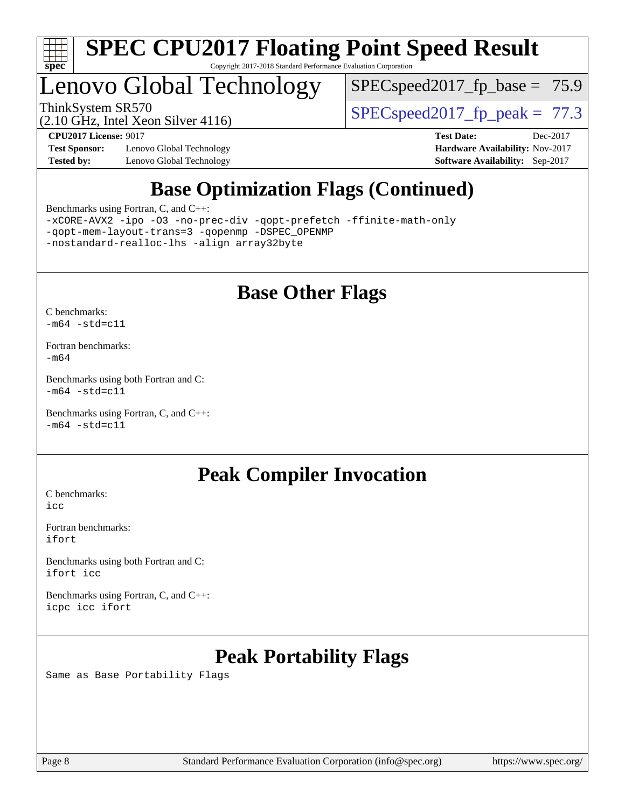

# Lenovo Global Technology

 $SPECspeed2017_fp\_base = 75.9$ 

(2.10 GHz, Intel Xeon Silver 4116)

ThinkSystem SR570<br>(2.10 GHz, Intel Yean Silver 4116) [SPECspeed2017\\_fp\\_peak =](http://www.spec.org/auto/cpu2017/Docs/result-fields.html#SPECspeed2017fppeak) 77.3

**[Test Sponsor:](http://www.spec.org/auto/cpu2017/Docs/result-fields.html#TestSponsor)** Lenovo Global Technology **[Hardware Availability:](http://www.spec.org/auto/cpu2017/Docs/result-fields.html#HardwareAvailability)** Nov-2017 **[Tested by:](http://www.spec.org/auto/cpu2017/Docs/result-fields.html#Testedby)** Lenovo Global Technology **[Software Availability:](http://www.spec.org/auto/cpu2017/Docs/result-fields.html#SoftwareAvailability)** Sep-2017

**[CPU2017 License:](http://www.spec.org/auto/cpu2017/Docs/result-fields.html#CPU2017License)** 9017 **[Test Date:](http://www.spec.org/auto/cpu2017/Docs/result-fields.html#TestDate)** Dec-2017

# **[Base Optimization Flags \(Continued\)](http://www.spec.org/auto/cpu2017/Docs/result-fields.html#BaseOptimizationFlags)**

[Benchmarks using Fortran, C, and C++:](http://www.spec.org/auto/cpu2017/Docs/result-fields.html#BenchmarksusingFortranCandCXX)

[-xCORE-AVX2](http://www.spec.org/cpu2017/results/res2018q1/cpu2017-20171225-02134.flags.html#user_CC_CXX_FCbase_f-xCORE-AVX2) [-ipo](http://www.spec.org/cpu2017/results/res2018q1/cpu2017-20171225-02134.flags.html#user_CC_CXX_FCbase_f-ipo) [-O3](http://www.spec.org/cpu2017/results/res2018q1/cpu2017-20171225-02134.flags.html#user_CC_CXX_FCbase_f-O3) [-no-prec-div](http://www.spec.org/cpu2017/results/res2018q1/cpu2017-20171225-02134.flags.html#user_CC_CXX_FCbase_f-no-prec-div) [-qopt-prefetch](http://www.spec.org/cpu2017/results/res2018q1/cpu2017-20171225-02134.flags.html#user_CC_CXX_FCbase_f-qopt-prefetch) [-ffinite-math-only](http://www.spec.org/cpu2017/results/res2018q1/cpu2017-20171225-02134.flags.html#user_CC_CXX_FCbase_f_finite_math_only_cb91587bd2077682c4b38af759c288ed7c732db004271a9512da14a4f8007909a5f1427ecbf1a0fb78ff2a814402c6114ac565ca162485bbcae155b5e4258871) [-qopt-mem-layout-trans=3](http://www.spec.org/cpu2017/results/res2018q1/cpu2017-20171225-02134.flags.html#user_CC_CXX_FCbase_f-qopt-mem-layout-trans_de80db37974c74b1f0e20d883f0b675c88c3b01e9d123adea9b28688d64333345fb62bc4a798493513fdb68f60282f9a726aa07f478b2f7113531aecce732043) [-qopenmp](http://www.spec.org/cpu2017/results/res2018q1/cpu2017-20171225-02134.flags.html#user_CC_CXX_FCbase_qopenmp_16be0c44f24f464004c6784a7acb94aca937f053568ce72f94b139a11c7c168634a55f6653758ddd83bcf7b8463e8028bb0b48b77bcddc6b78d5d95bb1df2967) [-DSPEC\\_OPENMP](http://www.spec.org/cpu2017/results/res2018q1/cpu2017-20171225-02134.flags.html#suite_CC_CXX_FCbase_DSPEC_OPENMP) [-nostandard-realloc-lhs](http://www.spec.org/cpu2017/results/res2018q1/cpu2017-20171225-02134.flags.html#user_CC_CXX_FCbase_f_2003_std_realloc_82b4557e90729c0f113870c07e44d33d6f5a304b4f63d4c15d2d0f1fab99f5daaed73bdb9275d9ae411527f28b936061aa8b9c8f2d63842963b95c9dd6426b8a) [-align array32byte](http://www.spec.org/cpu2017/results/res2018q1/cpu2017-20171225-02134.flags.html#user_CC_CXX_FCbase_align_array32byte_b982fe038af199962ba9a80c053b8342c548c85b40b8e86eb3cc33dee0d7986a4af373ac2d51c3f7cf710a18d62fdce2948f201cd044323541f22fc0fffc51b6)

# **[Base Other Flags](http://www.spec.org/auto/cpu2017/Docs/result-fields.html#BaseOtherFlags)**

[C benchmarks](http://www.spec.org/auto/cpu2017/Docs/result-fields.html#Cbenchmarks):  $-m64 - std= c11$  $-m64 - std= c11$ 

[Fortran benchmarks](http://www.spec.org/auto/cpu2017/Docs/result-fields.html#Fortranbenchmarks): [-m64](http://www.spec.org/cpu2017/results/res2018q1/cpu2017-20171225-02134.flags.html#user_FCbase_intel_intel64_18.0_af43caccfc8ded86e7699f2159af6efc7655f51387b94da716254467f3c01020a5059329e2569e4053f409e7c9202a7efc638f7a6d1ffb3f52dea4a3e31d82ab)

[Benchmarks using both Fortran and C](http://www.spec.org/auto/cpu2017/Docs/result-fields.html#BenchmarksusingbothFortranandC):  $-m64 - std = c11$  $-m64 - std = c11$ 

[Benchmarks using Fortran, C, and C++:](http://www.spec.org/auto/cpu2017/Docs/result-fields.html#BenchmarksusingFortranCandCXX)  $-m64$   $-std=cl1$ 

# **[Peak Compiler Invocation](http://www.spec.org/auto/cpu2017/Docs/result-fields.html#PeakCompilerInvocation)**

[C benchmarks](http://www.spec.org/auto/cpu2017/Docs/result-fields.html#Cbenchmarks): [icc](http://www.spec.org/cpu2017/results/res2018q1/cpu2017-20171225-02134.flags.html#user_CCpeak_intel_icc_18.0_66fc1ee009f7361af1fbd72ca7dcefbb700085f36577c54f309893dd4ec40d12360134090235512931783d35fd58c0460139e722d5067c5574d8eaf2b3e37e92)

[Fortran benchmarks](http://www.spec.org/auto/cpu2017/Docs/result-fields.html#Fortranbenchmarks): [ifort](http://www.spec.org/cpu2017/results/res2018q1/cpu2017-20171225-02134.flags.html#user_FCpeak_intel_ifort_18.0_8111460550e3ca792625aed983ce982f94888b8b503583aa7ba2b8303487b4d8a21a13e7191a45c5fd58ff318f48f9492884d4413fa793fd88dd292cad7027ca)

[Benchmarks using both Fortran and C](http://www.spec.org/auto/cpu2017/Docs/result-fields.html#BenchmarksusingbothFortranandC): [ifort](http://www.spec.org/cpu2017/results/res2018q1/cpu2017-20171225-02134.flags.html#user_CC_FCpeak_intel_ifort_18.0_8111460550e3ca792625aed983ce982f94888b8b503583aa7ba2b8303487b4d8a21a13e7191a45c5fd58ff318f48f9492884d4413fa793fd88dd292cad7027ca) [icc](http://www.spec.org/cpu2017/results/res2018q1/cpu2017-20171225-02134.flags.html#user_CC_FCpeak_intel_icc_18.0_66fc1ee009f7361af1fbd72ca7dcefbb700085f36577c54f309893dd4ec40d12360134090235512931783d35fd58c0460139e722d5067c5574d8eaf2b3e37e92)

[Benchmarks using Fortran, C, and C++:](http://www.spec.org/auto/cpu2017/Docs/result-fields.html#BenchmarksusingFortranCandCXX) [icpc](http://www.spec.org/cpu2017/results/res2018q1/cpu2017-20171225-02134.flags.html#user_CC_CXX_FCpeak_intel_icpc_18.0_c510b6838c7f56d33e37e94d029a35b4a7bccf4766a728ee175e80a419847e808290a9b78be685c44ab727ea267ec2f070ec5dc83b407c0218cded6866a35d07) [icc](http://www.spec.org/cpu2017/results/res2018q1/cpu2017-20171225-02134.flags.html#user_CC_CXX_FCpeak_intel_icc_18.0_66fc1ee009f7361af1fbd72ca7dcefbb700085f36577c54f309893dd4ec40d12360134090235512931783d35fd58c0460139e722d5067c5574d8eaf2b3e37e92) [ifort](http://www.spec.org/cpu2017/results/res2018q1/cpu2017-20171225-02134.flags.html#user_CC_CXX_FCpeak_intel_ifort_18.0_8111460550e3ca792625aed983ce982f94888b8b503583aa7ba2b8303487b4d8a21a13e7191a45c5fd58ff318f48f9492884d4413fa793fd88dd292cad7027ca)

# **[Peak Portability Flags](http://www.spec.org/auto/cpu2017/Docs/result-fields.html#PeakPortabilityFlags)**

Same as Base Portability Flags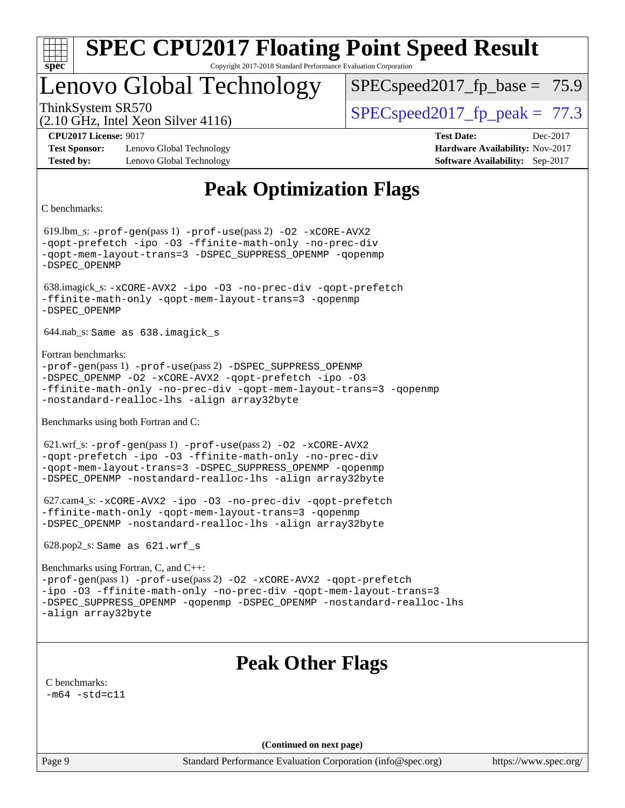

# Lenovo Global Technology

 $SPECspeed2017_fp\_base = 75.9$ 

(2.10 GHz, Intel Xeon Silver 4116)

ThinkSystem SR570  $SPIz$  [SPECspeed2017\\_fp\\_peak =](http://www.spec.org/auto/cpu2017/Docs/result-fields.html#SPECspeed2017fppeak) 77.3

**[Test Sponsor:](http://www.spec.org/auto/cpu2017/Docs/result-fields.html#TestSponsor)** Lenovo Global Technology **[Hardware Availability:](http://www.spec.org/auto/cpu2017/Docs/result-fields.html#HardwareAvailability)** Nov-2017 **[Tested by:](http://www.spec.org/auto/cpu2017/Docs/result-fields.html#Testedby)** Lenovo Global Technology **[Software Availability:](http://www.spec.org/auto/cpu2017/Docs/result-fields.html#SoftwareAvailability)** Sep-2017

**[CPU2017 License:](http://www.spec.org/auto/cpu2017/Docs/result-fields.html#CPU2017License)** 9017 **[Test Date:](http://www.spec.org/auto/cpu2017/Docs/result-fields.html#TestDate)** Dec-2017

# **[Peak Optimization Flags](http://www.spec.org/auto/cpu2017/Docs/result-fields.html#PeakOptimizationFlags)**

[C benchmarks](http://www.spec.org/auto/cpu2017/Docs/result-fields.html#Cbenchmarks):

 619.lbm\_s: [-prof-gen](http://www.spec.org/cpu2017/results/res2018q1/cpu2017-20171225-02134.flags.html#user_peakPASS1_CFLAGSPASS1_LDFLAGS619_lbm_s_prof_gen_5aa4926d6013ddb2a31985c654b3eb18169fc0c6952a63635c234f711e6e63dd76e94ad52365559451ec499a2cdb89e4dc58ba4c67ef54ca681ffbe1461d6b36)(pass 1) [-prof-use](http://www.spec.org/cpu2017/results/res2018q1/cpu2017-20171225-02134.flags.html#user_peakPASS2_CFLAGSPASS2_LDFLAGS619_lbm_s_prof_use_1a21ceae95f36a2b53c25747139a6c16ca95bd9def2a207b4f0849963b97e94f5260e30a0c64f4bb623698870e679ca08317ef8150905d41bd88c6f78df73f19)(pass 2) [-O2](http://www.spec.org/cpu2017/results/res2018q1/cpu2017-20171225-02134.flags.html#user_peakPASS1_COPTIMIZE619_lbm_s_f-O2) [-xCORE-AVX2](http://www.spec.org/cpu2017/results/res2018q1/cpu2017-20171225-02134.flags.html#user_peakPASS2_COPTIMIZE619_lbm_s_f-xCORE-AVX2) [-qopt-prefetch](http://www.spec.org/cpu2017/results/res2018q1/cpu2017-20171225-02134.flags.html#user_peakPASS1_COPTIMIZEPASS2_COPTIMIZE619_lbm_s_f-qopt-prefetch) [-ipo](http://www.spec.org/cpu2017/results/res2018q1/cpu2017-20171225-02134.flags.html#user_peakPASS2_COPTIMIZE619_lbm_s_f-ipo) [-O3](http://www.spec.org/cpu2017/results/res2018q1/cpu2017-20171225-02134.flags.html#user_peakPASS2_COPTIMIZE619_lbm_s_f-O3) [-ffinite-math-only](http://www.spec.org/cpu2017/results/res2018q1/cpu2017-20171225-02134.flags.html#user_peakPASS1_COPTIMIZEPASS2_COPTIMIZE619_lbm_s_f_finite_math_only_cb91587bd2077682c4b38af759c288ed7c732db004271a9512da14a4f8007909a5f1427ecbf1a0fb78ff2a814402c6114ac565ca162485bbcae155b5e4258871) [-no-prec-div](http://www.spec.org/cpu2017/results/res2018q1/cpu2017-20171225-02134.flags.html#user_peakPASS2_COPTIMIZE619_lbm_s_f-no-prec-div) [-qopt-mem-layout-trans=3](http://www.spec.org/cpu2017/results/res2018q1/cpu2017-20171225-02134.flags.html#user_peakPASS1_COPTIMIZEPASS2_COPTIMIZE619_lbm_s_f-qopt-mem-layout-trans_de80db37974c74b1f0e20d883f0b675c88c3b01e9d123adea9b28688d64333345fb62bc4a798493513fdb68f60282f9a726aa07f478b2f7113531aecce732043) [-DSPEC\\_SUPPRESS\\_OPENMP](http://www.spec.org/cpu2017/results/res2018q1/cpu2017-20171225-02134.flags.html#suite_peakPASS1_COPTIMIZE619_lbm_s_DSPEC_SUPPRESS_OPENMP) [-qopenmp](http://www.spec.org/cpu2017/results/res2018q1/cpu2017-20171225-02134.flags.html#user_peakPASS2_COPTIMIZE619_lbm_s_qopenmp_16be0c44f24f464004c6784a7acb94aca937f053568ce72f94b139a11c7c168634a55f6653758ddd83bcf7b8463e8028bb0b48b77bcddc6b78d5d95bb1df2967) [-DSPEC\\_OPENMP](http://www.spec.org/cpu2017/results/res2018q1/cpu2017-20171225-02134.flags.html#suite_peakPASS2_COPTIMIZE619_lbm_s_DSPEC_OPENMP) 638.imagick\_s: [-xCORE-AVX2](http://www.spec.org/cpu2017/results/res2018q1/cpu2017-20171225-02134.flags.html#user_peakCOPTIMIZE638_imagick_s_f-xCORE-AVX2) [-ipo](http://www.spec.org/cpu2017/results/res2018q1/cpu2017-20171225-02134.flags.html#user_peakCOPTIMIZE638_imagick_s_f-ipo) [-O3](http://www.spec.org/cpu2017/results/res2018q1/cpu2017-20171225-02134.flags.html#user_peakCOPTIMIZE638_imagick_s_f-O3) [-no-prec-div](http://www.spec.org/cpu2017/results/res2018q1/cpu2017-20171225-02134.flags.html#user_peakCOPTIMIZE638_imagick_s_f-no-prec-div) [-qopt-prefetch](http://www.spec.org/cpu2017/results/res2018q1/cpu2017-20171225-02134.flags.html#user_peakCOPTIMIZE638_imagick_s_f-qopt-prefetch) [-ffinite-math-only](http://www.spec.org/cpu2017/results/res2018q1/cpu2017-20171225-02134.flags.html#user_peakCOPTIMIZE638_imagick_s_f_finite_math_only_cb91587bd2077682c4b38af759c288ed7c732db004271a9512da14a4f8007909a5f1427ecbf1a0fb78ff2a814402c6114ac565ca162485bbcae155b5e4258871) [-qopt-mem-layout-trans=3](http://www.spec.org/cpu2017/results/res2018q1/cpu2017-20171225-02134.flags.html#user_peakCOPTIMIZE638_imagick_s_f-qopt-mem-layout-trans_de80db37974c74b1f0e20d883f0b675c88c3b01e9d123adea9b28688d64333345fb62bc4a798493513fdb68f60282f9a726aa07f478b2f7113531aecce732043) [-qopenmp](http://www.spec.org/cpu2017/results/res2018q1/cpu2017-20171225-02134.flags.html#user_peakCOPTIMIZE638_imagick_s_qopenmp_16be0c44f24f464004c6784a7acb94aca937f053568ce72f94b139a11c7c168634a55f6653758ddd83bcf7b8463e8028bb0b48b77bcddc6b78d5d95bb1df2967) [-DSPEC\\_OPENMP](http://www.spec.org/cpu2017/results/res2018q1/cpu2017-20171225-02134.flags.html#suite_peakCOPTIMIZE638_imagick_s_DSPEC_OPENMP) 644.nab\_s: Same as 638.imagick\_s [Fortran benchmarks:](http://www.spec.org/auto/cpu2017/Docs/result-fields.html#Fortranbenchmarks) [-prof-gen](http://www.spec.org/cpu2017/results/res2018q1/cpu2017-20171225-02134.flags.html#user_FCpeak_prof_gen_5aa4926d6013ddb2a31985c654b3eb18169fc0c6952a63635c234f711e6e63dd76e94ad52365559451ec499a2cdb89e4dc58ba4c67ef54ca681ffbe1461d6b36)(pass 1) [-prof-use](http://www.spec.org/cpu2017/results/res2018q1/cpu2017-20171225-02134.flags.html#user_FCpeak_prof_use_1a21ceae95f36a2b53c25747139a6c16ca95bd9def2a207b4f0849963b97e94f5260e30a0c64f4bb623698870e679ca08317ef8150905d41bd88c6f78df73f19)(pass 2) [-DSPEC\\_SUPPRESS\\_OPENMP](http://www.spec.org/cpu2017/results/res2018q1/cpu2017-20171225-02134.flags.html#suite_FCpeak_DSPEC_SUPPRESS_OPENMP) [-DSPEC\\_OPENMP](http://www.spec.org/cpu2017/results/res2018q1/cpu2017-20171225-02134.flags.html#suite_FCpeak_DSPEC_OPENMP) [-O2](http://www.spec.org/cpu2017/results/res2018q1/cpu2017-20171225-02134.flags.html#user_FCpeak_f-O2) [-xCORE-AVX2](http://www.spec.org/cpu2017/results/res2018q1/cpu2017-20171225-02134.flags.html#user_FCpeak_f-xCORE-AVX2) [-qopt-prefetch](http://www.spec.org/cpu2017/results/res2018q1/cpu2017-20171225-02134.flags.html#user_FCpeak_f-qopt-prefetch) [-ipo](http://www.spec.org/cpu2017/results/res2018q1/cpu2017-20171225-02134.flags.html#user_FCpeak_f-ipo) [-O3](http://www.spec.org/cpu2017/results/res2018q1/cpu2017-20171225-02134.flags.html#user_FCpeak_f-O3) [-ffinite-math-only](http://www.spec.org/cpu2017/results/res2018q1/cpu2017-20171225-02134.flags.html#user_FCpeak_f_finite_math_only_cb91587bd2077682c4b38af759c288ed7c732db004271a9512da14a4f8007909a5f1427ecbf1a0fb78ff2a814402c6114ac565ca162485bbcae155b5e4258871) [-no-prec-div](http://www.spec.org/cpu2017/results/res2018q1/cpu2017-20171225-02134.flags.html#user_FCpeak_f-no-prec-div) [-qopt-mem-layout-trans=3](http://www.spec.org/cpu2017/results/res2018q1/cpu2017-20171225-02134.flags.html#user_FCpeak_f-qopt-mem-layout-trans_de80db37974c74b1f0e20d883f0b675c88c3b01e9d123adea9b28688d64333345fb62bc4a798493513fdb68f60282f9a726aa07f478b2f7113531aecce732043) [-qopenmp](http://www.spec.org/cpu2017/results/res2018q1/cpu2017-20171225-02134.flags.html#user_FCpeak_qopenmp_16be0c44f24f464004c6784a7acb94aca937f053568ce72f94b139a11c7c168634a55f6653758ddd83bcf7b8463e8028bb0b48b77bcddc6b78d5d95bb1df2967) [-nostandard-realloc-lhs](http://www.spec.org/cpu2017/results/res2018q1/cpu2017-20171225-02134.flags.html#user_FCpeak_f_2003_std_realloc_82b4557e90729c0f113870c07e44d33d6f5a304b4f63d4c15d2d0f1fab99f5daaed73bdb9275d9ae411527f28b936061aa8b9c8f2d63842963b95c9dd6426b8a) [-align array32byte](http://www.spec.org/cpu2017/results/res2018q1/cpu2017-20171225-02134.flags.html#user_FCpeak_align_array32byte_b982fe038af199962ba9a80c053b8342c548c85b40b8e86eb3cc33dee0d7986a4af373ac2d51c3f7cf710a18d62fdce2948f201cd044323541f22fc0fffc51b6) [Benchmarks using both Fortran and C](http://www.spec.org/auto/cpu2017/Docs/result-fields.html#BenchmarksusingbothFortranandC): 621.wrf\_s: [-prof-gen](http://www.spec.org/cpu2017/results/res2018q1/cpu2017-20171225-02134.flags.html#user_peakPASS1_CFLAGSPASS1_FFLAGSPASS1_LDFLAGS621_wrf_s_prof_gen_5aa4926d6013ddb2a31985c654b3eb18169fc0c6952a63635c234f711e6e63dd76e94ad52365559451ec499a2cdb89e4dc58ba4c67ef54ca681ffbe1461d6b36)(pass 1) [-prof-use](http://www.spec.org/cpu2017/results/res2018q1/cpu2017-20171225-02134.flags.html#user_peakPASS2_CFLAGSPASS2_FFLAGSPASS2_LDFLAGS621_wrf_s_prof_use_1a21ceae95f36a2b53c25747139a6c16ca95bd9def2a207b4f0849963b97e94f5260e30a0c64f4bb623698870e679ca08317ef8150905d41bd88c6f78df73f19)(pass 2) [-O2](http://www.spec.org/cpu2017/results/res2018q1/cpu2017-20171225-02134.flags.html#user_peakPASS1_COPTIMIZEPASS1_FOPTIMIZE621_wrf_s_f-O2) [-xCORE-AVX2](http://www.spec.org/cpu2017/results/res2018q1/cpu2017-20171225-02134.flags.html#user_peakPASS2_COPTIMIZEPASS2_FOPTIMIZE621_wrf_s_f-xCORE-AVX2) [-qopt-prefetch](http://www.spec.org/cpu2017/results/res2018q1/cpu2017-20171225-02134.flags.html#user_peakPASS1_COPTIMIZEPASS1_FOPTIMIZEPASS2_COPTIMIZEPASS2_FOPTIMIZE621_wrf_s_f-qopt-prefetch) [-ipo](http://www.spec.org/cpu2017/results/res2018q1/cpu2017-20171225-02134.flags.html#user_peakPASS2_COPTIMIZEPASS2_FOPTIMIZE621_wrf_s_f-ipo) [-O3](http://www.spec.org/cpu2017/results/res2018q1/cpu2017-20171225-02134.flags.html#user_peakPASS2_COPTIMIZEPASS2_FOPTIMIZE621_wrf_s_f-O3) [-ffinite-math-only](http://www.spec.org/cpu2017/results/res2018q1/cpu2017-20171225-02134.flags.html#user_peakPASS1_COPTIMIZEPASS1_FOPTIMIZEPASS2_COPTIMIZEPASS2_FOPTIMIZE621_wrf_s_f_finite_math_only_cb91587bd2077682c4b38af759c288ed7c732db004271a9512da14a4f8007909a5f1427ecbf1a0fb78ff2a814402c6114ac565ca162485bbcae155b5e4258871) [-no-prec-div](http://www.spec.org/cpu2017/results/res2018q1/cpu2017-20171225-02134.flags.html#user_peakPASS2_COPTIMIZEPASS2_FOPTIMIZE621_wrf_s_f-no-prec-div) [-qopt-mem-layout-trans=3](http://www.spec.org/cpu2017/results/res2018q1/cpu2017-20171225-02134.flags.html#user_peakPASS1_COPTIMIZEPASS1_FOPTIMIZEPASS2_COPTIMIZEPASS2_FOPTIMIZE621_wrf_s_f-qopt-mem-layout-trans_de80db37974c74b1f0e20d883f0b675c88c3b01e9d123adea9b28688d64333345fb62bc4a798493513fdb68f60282f9a726aa07f478b2f7113531aecce732043) [-DSPEC\\_SUPPRESS\\_OPENMP](http://www.spec.org/cpu2017/results/res2018q1/cpu2017-20171225-02134.flags.html#suite_peakPASS1_COPTIMIZEPASS1_FOPTIMIZE621_wrf_s_DSPEC_SUPPRESS_OPENMP) [-qopenmp](http://www.spec.org/cpu2017/results/res2018q1/cpu2017-20171225-02134.flags.html#user_peakPASS2_COPTIMIZEPASS2_FOPTIMIZE621_wrf_s_qopenmp_16be0c44f24f464004c6784a7acb94aca937f053568ce72f94b139a11c7c168634a55f6653758ddd83bcf7b8463e8028bb0b48b77bcddc6b78d5d95bb1df2967) [-DSPEC\\_OPENMP](http://www.spec.org/cpu2017/results/res2018q1/cpu2017-20171225-02134.flags.html#suite_peakPASS2_COPTIMIZEPASS2_FOPTIMIZE621_wrf_s_DSPEC_OPENMP) [-nostandard-realloc-lhs](http://www.spec.org/cpu2017/results/res2018q1/cpu2017-20171225-02134.flags.html#user_peakEXTRA_FOPTIMIZE621_wrf_s_f_2003_std_realloc_82b4557e90729c0f113870c07e44d33d6f5a304b4f63d4c15d2d0f1fab99f5daaed73bdb9275d9ae411527f28b936061aa8b9c8f2d63842963b95c9dd6426b8a) [-align array32byte](http://www.spec.org/cpu2017/results/res2018q1/cpu2017-20171225-02134.flags.html#user_peakEXTRA_FOPTIMIZE621_wrf_s_align_array32byte_b982fe038af199962ba9a80c053b8342c548c85b40b8e86eb3cc33dee0d7986a4af373ac2d51c3f7cf710a18d62fdce2948f201cd044323541f22fc0fffc51b6) 627.cam4\_s: [-xCORE-AVX2](http://www.spec.org/cpu2017/results/res2018q1/cpu2017-20171225-02134.flags.html#user_peakCOPTIMIZEFOPTIMIZE627_cam4_s_f-xCORE-AVX2) [-ipo](http://www.spec.org/cpu2017/results/res2018q1/cpu2017-20171225-02134.flags.html#user_peakCOPTIMIZEFOPTIMIZE627_cam4_s_f-ipo) [-O3](http://www.spec.org/cpu2017/results/res2018q1/cpu2017-20171225-02134.flags.html#user_peakCOPTIMIZEFOPTIMIZE627_cam4_s_f-O3) [-no-prec-div](http://www.spec.org/cpu2017/results/res2018q1/cpu2017-20171225-02134.flags.html#user_peakCOPTIMIZEFOPTIMIZE627_cam4_s_f-no-prec-div) [-qopt-prefetch](http://www.spec.org/cpu2017/results/res2018q1/cpu2017-20171225-02134.flags.html#user_peakCOPTIMIZEFOPTIMIZE627_cam4_s_f-qopt-prefetch) [-ffinite-math-only](http://www.spec.org/cpu2017/results/res2018q1/cpu2017-20171225-02134.flags.html#user_peakCOPTIMIZEFOPTIMIZE627_cam4_s_f_finite_math_only_cb91587bd2077682c4b38af759c288ed7c732db004271a9512da14a4f8007909a5f1427ecbf1a0fb78ff2a814402c6114ac565ca162485bbcae155b5e4258871) [-qopt-mem-layout-trans=3](http://www.spec.org/cpu2017/results/res2018q1/cpu2017-20171225-02134.flags.html#user_peakCOPTIMIZEFOPTIMIZE627_cam4_s_f-qopt-mem-layout-trans_de80db37974c74b1f0e20d883f0b675c88c3b01e9d123adea9b28688d64333345fb62bc4a798493513fdb68f60282f9a726aa07f478b2f7113531aecce732043) [-qopenmp](http://www.spec.org/cpu2017/results/res2018q1/cpu2017-20171225-02134.flags.html#user_peakCOPTIMIZEFOPTIMIZE627_cam4_s_qopenmp_16be0c44f24f464004c6784a7acb94aca937f053568ce72f94b139a11c7c168634a55f6653758ddd83bcf7b8463e8028bb0b48b77bcddc6b78d5d95bb1df2967) [-DSPEC\\_OPENMP](http://www.spec.org/cpu2017/results/res2018q1/cpu2017-20171225-02134.flags.html#suite_peakCOPTIMIZEFOPTIMIZE627_cam4_s_DSPEC_OPENMP) [-nostandard-realloc-lhs](http://www.spec.org/cpu2017/results/res2018q1/cpu2017-20171225-02134.flags.html#user_peakEXTRA_FOPTIMIZE627_cam4_s_f_2003_std_realloc_82b4557e90729c0f113870c07e44d33d6f5a304b4f63d4c15d2d0f1fab99f5daaed73bdb9275d9ae411527f28b936061aa8b9c8f2d63842963b95c9dd6426b8a) [-align array32byte](http://www.spec.org/cpu2017/results/res2018q1/cpu2017-20171225-02134.flags.html#user_peakEXTRA_FOPTIMIZE627_cam4_s_align_array32byte_b982fe038af199962ba9a80c053b8342c548c85b40b8e86eb3cc33dee0d7986a4af373ac2d51c3f7cf710a18d62fdce2948f201cd044323541f22fc0fffc51b6) 628.pop2\_s: Same as 621.wrf\_s [Benchmarks using Fortran, C, and C++](http://www.spec.org/auto/cpu2017/Docs/result-fields.html#BenchmarksusingFortranCandCXX): [-prof-gen](http://www.spec.org/cpu2017/results/res2018q1/cpu2017-20171225-02134.flags.html#user_CC_CXX_FCpeak_prof_gen_5aa4926d6013ddb2a31985c654b3eb18169fc0c6952a63635c234f711e6e63dd76e94ad52365559451ec499a2cdb89e4dc58ba4c67ef54ca681ffbe1461d6b36)(pass 1) [-prof-use](http://www.spec.org/cpu2017/results/res2018q1/cpu2017-20171225-02134.flags.html#user_CC_CXX_FCpeak_prof_use_1a21ceae95f36a2b53c25747139a6c16ca95bd9def2a207b4f0849963b97e94f5260e30a0c64f4bb623698870e679ca08317ef8150905d41bd88c6f78df73f19)(pass 2) [-O2](http://www.spec.org/cpu2017/results/res2018q1/cpu2017-20171225-02134.flags.html#user_CC_CXX_FCpeak_f-O2) [-xCORE-AVX2](http://www.spec.org/cpu2017/results/res2018q1/cpu2017-20171225-02134.flags.html#user_CC_CXX_FCpeak_f-xCORE-AVX2) [-qopt-prefetch](http://www.spec.org/cpu2017/results/res2018q1/cpu2017-20171225-02134.flags.html#user_CC_CXX_FCpeak_f-qopt-prefetch) [-ipo](http://www.spec.org/cpu2017/results/res2018q1/cpu2017-20171225-02134.flags.html#user_CC_CXX_FCpeak_f-ipo) [-O3](http://www.spec.org/cpu2017/results/res2018q1/cpu2017-20171225-02134.flags.html#user_CC_CXX_FCpeak_f-O3) [-ffinite-math-only](http://www.spec.org/cpu2017/results/res2018q1/cpu2017-20171225-02134.flags.html#user_CC_CXX_FCpeak_f_finite_math_only_cb91587bd2077682c4b38af759c288ed7c732db004271a9512da14a4f8007909a5f1427ecbf1a0fb78ff2a814402c6114ac565ca162485bbcae155b5e4258871) [-no-prec-div](http://www.spec.org/cpu2017/results/res2018q1/cpu2017-20171225-02134.flags.html#user_CC_CXX_FCpeak_f-no-prec-div) [-qopt-mem-layout-trans=3](http://www.spec.org/cpu2017/results/res2018q1/cpu2017-20171225-02134.flags.html#user_CC_CXX_FCpeak_f-qopt-mem-layout-trans_de80db37974c74b1f0e20d883f0b675c88c3b01e9d123adea9b28688d64333345fb62bc4a798493513fdb68f60282f9a726aa07f478b2f7113531aecce732043) [-DSPEC\\_SUPPRESS\\_OPENMP](http://www.spec.org/cpu2017/results/res2018q1/cpu2017-20171225-02134.flags.html#suite_CC_CXX_FCpeak_DSPEC_SUPPRESS_OPENMP) [-qopenmp](http://www.spec.org/cpu2017/results/res2018q1/cpu2017-20171225-02134.flags.html#user_CC_CXX_FCpeak_qopenmp_16be0c44f24f464004c6784a7acb94aca937f053568ce72f94b139a11c7c168634a55f6653758ddd83bcf7b8463e8028bb0b48b77bcddc6b78d5d95bb1df2967) [-DSPEC\\_OPENMP](http://www.spec.org/cpu2017/results/res2018q1/cpu2017-20171225-02134.flags.html#suite_CC_CXX_FCpeak_DSPEC_OPENMP) [-nostandard-realloc-lhs](http://www.spec.org/cpu2017/results/res2018q1/cpu2017-20171225-02134.flags.html#user_CC_CXX_FCpeak_f_2003_std_realloc_82b4557e90729c0f113870c07e44d33d6f5a304b4f63d4c15d2d0f1fab99f5daaed73bdb9275d9ae411527f28b936061aa8b9c8f2d63842963b95c9dd6426b8a) [-align array32byte](http://www.spec.org/cpu2017/results/res2018q1/cpu2017-20171225-02134.flags.html#user_CC_CXX_FCpeak_align_array32byte_b982fe038af199962ba9a80c053b8342c548c85b40b8e86eb3cc33dee0d7986a4af373ac2d51c3f7cf710a18d62fdce2948f201cd044323541f22fc0fffc51b6) **[Peak Other Flags](http://www.spec.org/auto/cpu2017/Docs/result-fields.html#PeakOtherFlags)** [C benchmarks](http://www.spec.org/auto/cpu2017/Docs/result-fields.html#Cbenchmarks):  $-m64 - std= c11$  $-m64 - std= c11$ **(Continued on next page)**

Page 9 Standard Performance Evaluation Corporation [\(info@spec.org\)](mailto:info@spec.org) <https://www.spec.org/>